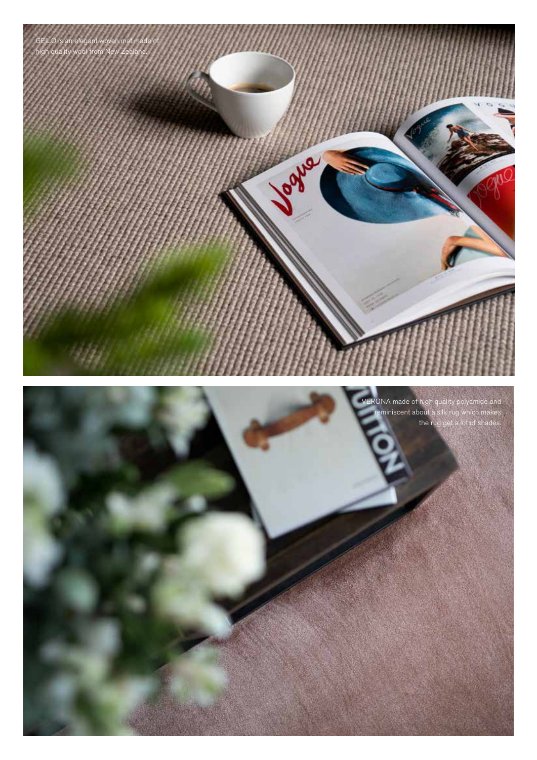